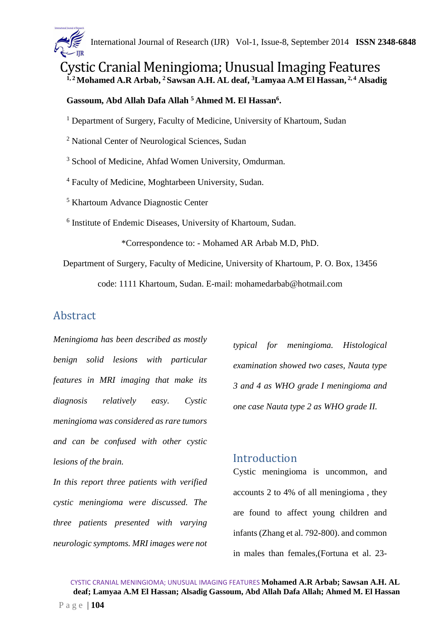

Cystic Cranial Meningioma; Unusual Imaging Features **1, 2 Mohamed A.R Arbab, <sup>2</sup>Sawsan A.H. AL deaf, <sup>3</sup>Lamyaa A.M El Hassan, 2, 4 Alsadig** 

### **Gassoum, Abd Allah Dafa Allah <sup>5</sup>Ahmed M. El Hassan<sup>6</sup> .**

<sup>1</sup> Department of Surgery, Faculty of Medicine, University of Khartoum, Sudan

<sup>2</sup> National Center of Neurological Sciences, Sudan

<sup>3</sup> School of Medicine, Ahfad Women University, Omdurman.

<sup>4</sup> Faculty of Medicine, Moghtarbeen University, Sudan.

<sup>5</sup> Khartoum Advance Diagnostic Center

6 Institute of Endemic Diseases, University of Khartoum, Sudan.

\*Correspondence to: - Mohamed AR Arbab M.D, PhD.

Department of Surgery, Faculty of Medicine, University of Khartoum, P. O. Box, 13456

code: 1111 Khartoum, Sudan. E-mail: mohamedarbab@hotmail.com

# Abstract

*Meningioma has been described as mostly benign solid lesions with particular features in MRI imaging that make its diagnosis relatively easy. Cystic meningioma was considered as rare tumors and can be confused with other cystic lesions of the brain.* 

*In this report three patients with verified cystic meningioma were discussed. The three patients presented with varying neurologic symptoms. MRI images were not* 

*typical for meningioma. Histological examination showed two cases, Nauta type 3 and 4 as WHO grade I meningioma and one case Nauta type 2 as WHO grade II.* 

# **Introduction**

Cystic meningioma is uncommon, and accounts 2 to 4% of all meningioma , they are found to affect young children and infants (Zhang et al. 792-800). and common in males than females,(Fortuna et al. 23-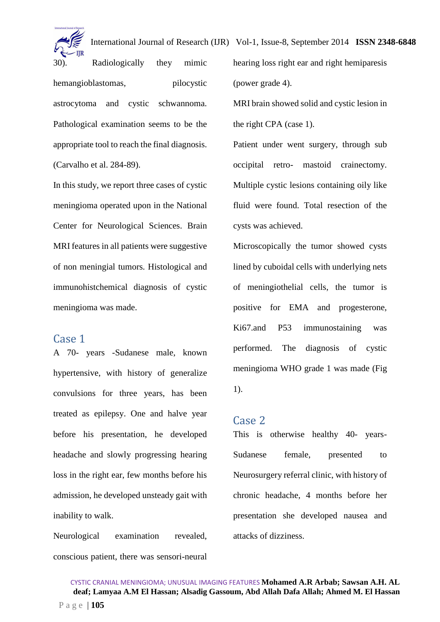

30). Radiologically they mimic hemangioblastomas, pilocystic astrocytoma and cystic schwannoma. Pathological examination seems to be the appropriate tool to reach the final diagnosis. (Carvalho et al. 284-89).

In this study, we report three cases of cystic meningioma operated upon in the National Center for Neurological Sciences. Brain MRI features in all patients were suggestive of non meningial tumors. Histological and immunohistchemical diagnosis of cystic meningioma was made.

## Case 1

A 70- years -Sudanese male, known hypertensive, with history of generalize convulsions for three years, has been treated as epilepsy. One and halve year before his presentation, he developed headache and slowly progressing hearing loss in the right ear, few months before his admission, he developed unsteady gait with inability to walk.

Neurological examination revealed, conscious patient, there was sensori-neural hearing loss right ear and right hemiparesis (power grade 4).

MRI brain showed solid and cystic lesion in the right CPA (case 1).

Patient under went surgery, through sub occipital retro- mastoid crainectomy. Multiple cystic lesions containing oily like fluid were found. Total resection of the cysts was achieved.

Microscopically the tumor showed cysts lined by cuboidal cells with underlying nets of meningiothelial cells, the tumor is positive for EMA and progesterone, Ki67.and P53 immunostaining was performed. The diagnosis of cystic meningioma WHO grade 1 was made (Fig 1).

#### Case 2

This is otherwise healthy 40- years-Sudanese female, presented to Neurosurgery referral clinic, with history of chronic headache, 4 months before her presentation she developed nausea and attacks of dizziness.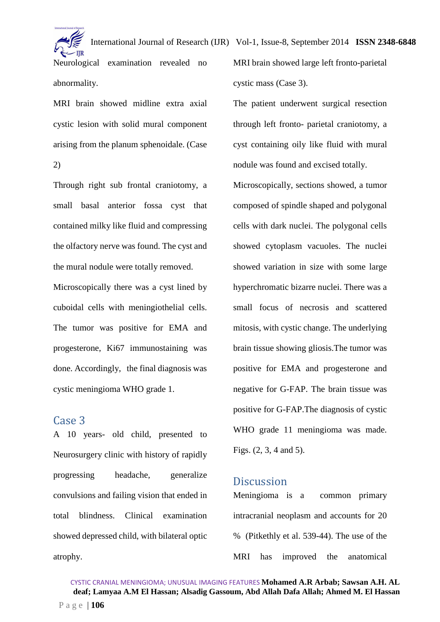International Journal of Research (IJR) Vol-1, Issue-8, September 2014 **ISSN 2348-6848** Neurological examination revealed no MRI brain showed large left fronto-parietal

abnormality.

MRI brain showed midline extra axial cystic lesion with solid mural component arising from the planum sphenoidale. (Case 2)

Through right sub frontal craniotomy, a small basal anterior fossa cyst that contained milky like fluid and compressing the olfactory nerve was found. The cyst and the mural nodule were totally removed.

Microscopically there was a cyst lined by cuboidal cells with meningiothelial cells. The tumor was positive for EMA and progesterone, Ki67 immunostaining was done. Accordingly, the final diagnosis was cystic meningioma WHO grade 1.

## Case 3

A 10 years- old child, presented to Neurosurgery clinic with history of rapidly progressing headache, generalize convulsions and failing vision that ended in total blindness. Clinical examination showed depressed child, with bilateral optic atrophy.

cystic mass (Case 3). The patient underwent surgical resection

through left fronto- parietal craniotomy, a cyst containing oily like fluid with mural nodule was found and excised totally.

Microscopically, sections showed, a tumor composed of spindle shaped and polygonal cells with dark nuclei. The polygonal cells showed cytoplasm vacuoles. The nuclei showed variation in size with some large hyperchromatic bizarre nuclei. There was a small focus of necrosis and scattered mitosis, with cystic change. The underlying brain tissue showing gliosis.The tumor was positive for EMA and progesterone and negative for G-FAP. The brain tissue was positive for G-FAP.The diagnosis of cystic WHO grade 11 meningioma was made. Figs. (2, 3, 4 and 5).

## **Discussion**

Meningioma is a common primary intracranial neoplasm and accounts for 20 % (Pitkethly et al. 539-44). The use of the MRI has improved the anatomical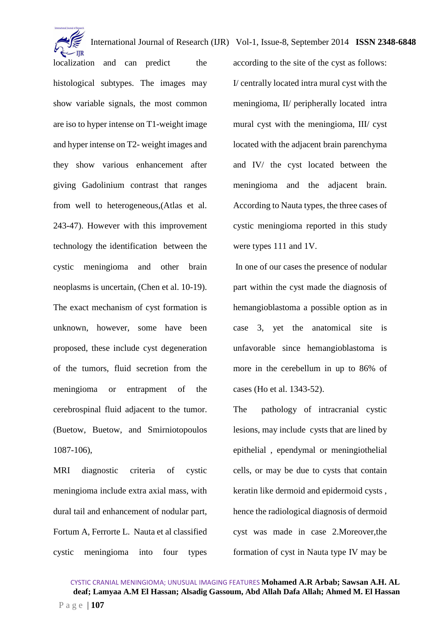localization and can predict the histological subtypes. The images may show variable signals, the most common are iso to hyper intense on T1-weight image and hyper intense on T2- weight images and they show various enhancement after giving Gadolinium contrast that ranges from well to heterogeneous,(Atlas et al. 243-47). However with this improvement technology the identification between the cystic meningioma and other brain neoplasms is uncertain, (Chen et al. 10-19). The exact mechanism of cyst formation is unknown, however, some have been proposed, these include cyst degeneration of the tumors, fluid secretion from the meningioma or entrapment of the cerebrospinal fluid adjacent to the tumor. (Buetow, Buetow, and Smirniotopoulos 1087-106),

MRI diagnostic criteria of cystic meningioma include extra axial mass, with dural tail and enhancement of nodular part, Fortum A, Ferrorte L. Nauta et al classified cystic meningioma into four types according to the site of the cyst as follows: I/ centrally located intra mural cyst with the meningioma, II/ peripherally located intra mural cyst with the meningioma, III/ cyst located with the adjacent brain parenchyma and IV/ the cyst located between the meningioma and the adjacent brain. According to Nauta types, the three cases of cystic meningioma reported in this study were types 111 and 1V.

 In one of our cases the presence of nodular part within the cyst made the diagnosis of hemangioblastoma a possible option as in case 3, yet the anatomical site is unfavorable since hemangioblastoma is more in the cerebellum in up to 86% of cases (Ho et al. 1343-52).

The pathology of intracranial cystic lesions, may include cysts that are lined by epithelial , ependymal or meningiothelial cells, or may be due to cysts that contain keratin like dermoid and epidermoid cysts , hence the radiological diagnosis of dermoid cyst was made in case 2.Moreover,the formation of cyst in Nauta type IV may be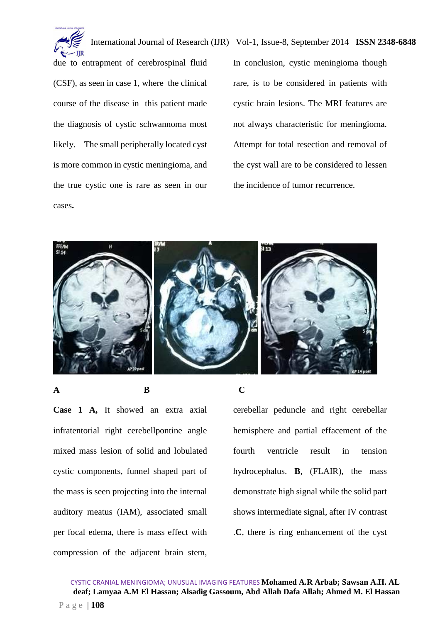

due to entrapment of cerebrospinal fluid (CSF), as seen in case 1, where the clinical course of the disease in this patient made the diagnosis of cystic schwannoma most likely. The small peripherally located cyst is more common in cystic meningioma, and the true cystic one is rare as seen in our cases**.** 

In conclusion, cystic meningioma though rare, is to be considered in patients with cystic brain lesions. The MRI features are not always characteristic for meningioma. Attempt for total resection and removal of the cyst wall are to be considered to lessen the incidence of tumor recurrence.



**Case 1 A,** It showed an extra axial infratentorial right cerebellpontine angle mixed mass lesion of solid and lobulated cystic components, funnel shaped part of the mass is seen projecting into the internal auditory meatus (IAM), associated small per focal edema, there is mass effect with compression of the adjacent brain stem,

### **A** B C

cerebellar peduncle and right cerebellar hemisphere and partial effacement of the fourth ventricle result in tension hydrocephalus. **B**, (FLAIR), the mass demonstrate high signal while the solid part shows intermediate signal, after IV contrast .**C**, there is ring enhancement of the cyst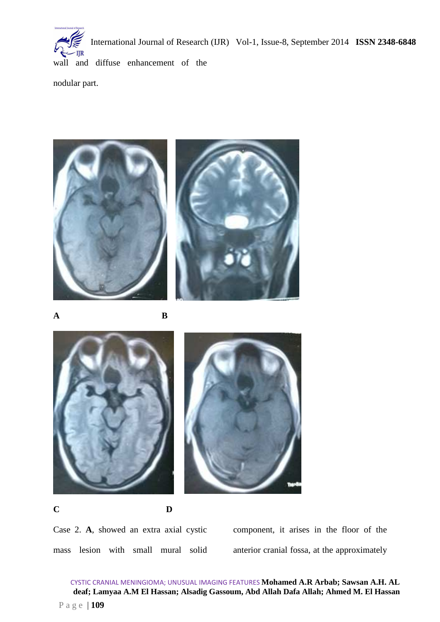wall and diffuse enhancement of the

nodular part.





**A B** 







**C D** 

Case 2. **A**, showed an extra axial cystic mass lesion with small mural solid component, it arises in the floor of the anterior cranial fossa, at the approximately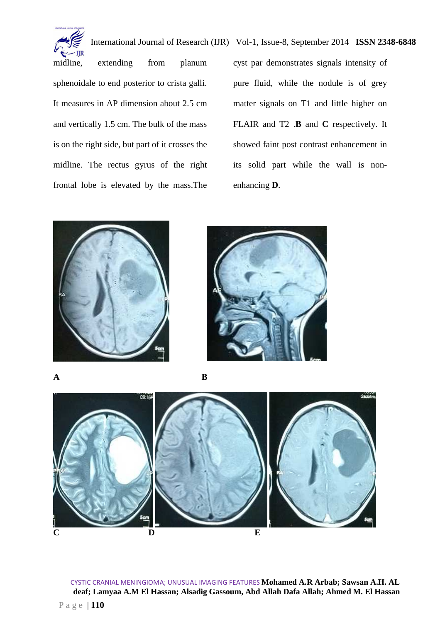

midline, extending from planum sphenoidale to end posterior to crista galli. It measures in AP dimension about 2.5 cm and vertically 1.5 cm. The bulk of the mass is on the right side, but part of it crosses the midline. The rectus gyrus of the right frontal lobe is elevated by the mass.The cyst par demonstrates signals intensity of pure fluid, while the nodule is of grey matter signals on T1 and little higher on FLAIR and T2 .**B** and **C** respectively. It showed faint post contrast enhancement in its solid part while the wall is nonenhancing **D**.





**A B** 



CYSTIC CRANIAL MENINGIOMA; UNUSUAL IMAGING FEATURES **Mohamed A.R Arbab; Sawsan A.H. AL deaf; Lamyaa A.M El Hassan; Alsadig Gassoum, Abd Allah Dafa Allah; Ahmed M. El Hassan**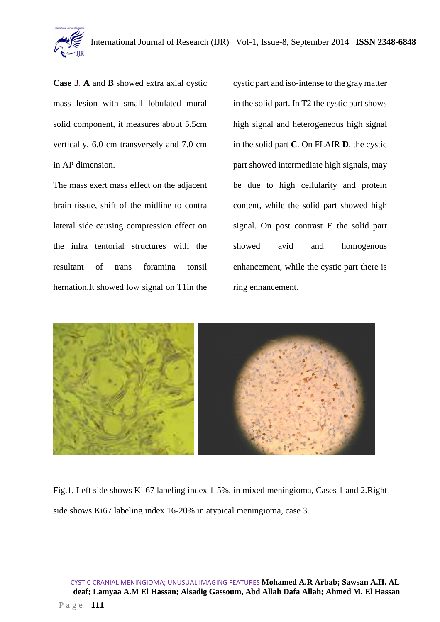

**Case** 3. **A** and **B** showed extra axial cystic mass lesion with small lobulated mural solid component, it measures about 5.5cm vertically, 6.0 cm transversely and 7.0 cm in AP dimension.

The mass exert mass effect on the adjacent brain tissue, shift of the midline to contra lateral side causing compression effect on the infra tentorial structures with the resultant of trans foramina tonsil hernation.It showed low signal on T1in the cystic part and iso-intense to the gray matter in the solid part. In T2 the cystic part shows high signal and heterogeneous high signal in the solid part **C**. On FLAIR **D**, the cystic part showed intermediate high signals, may be due to high cellularity and protein content, while the solid part showed high signal. On post contrast **E** the solid part showed avid and homogenous enhancement, while the cystic part there is ring enhancement.



Fig.1, Left side shows Ki 67 labeling index 1-5%, in mixed meningioma, Cases 1 and 2.Right side shows Ki67 labeling index 16-20% in atypical meningioma, case 3.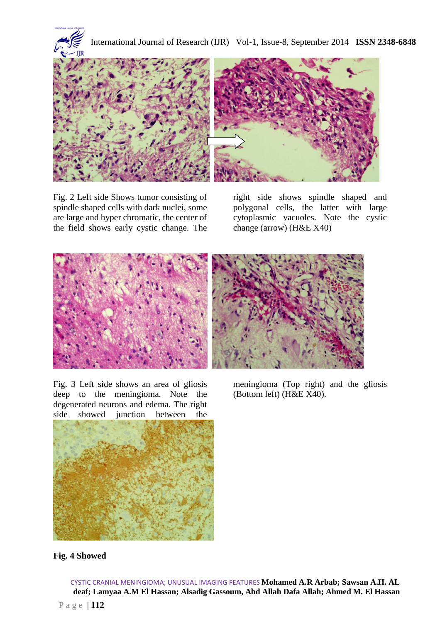

Fig. 2 Left side Shows tumor consisting of spindle shaped cells with dark nuclei, some are large and hyper chromatic, the center of the field shows early cystic change. The

right side shows spindle shaped and polygonal cells, the latter with large cytoplasmic vacuoles. Note the cystic change (arrow) (H&E X40)



Fig. 3 Left side shows an area of gliosis deep to the meningioma. Note the degenerated neurons and edema. The right side showed junction between the



meningioma (Top right) and the gliosis (Bottom left) (H&E X40).

### **Fig. 4 Showed**

CYSTIC CRANIAL MENINGIOMA; UNUSUAL IMAGING FEATURES **Mohamed A.R Arbab; Sawsan A.H. AL deaf; Lamyaa A.M El Hassan; Alsadig Gassoum, Abd Allah Dafa Allah; Ahmed M. El Hassan**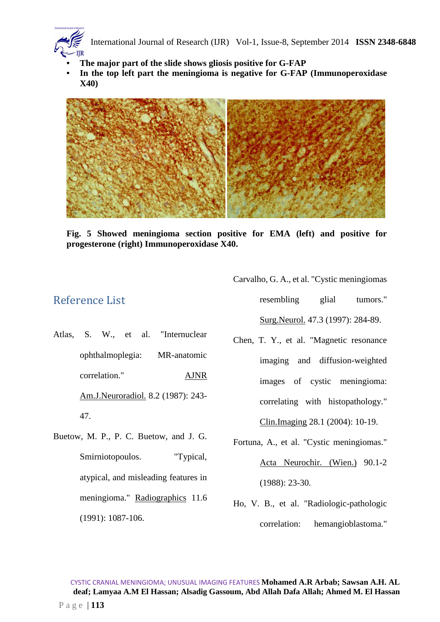- **The major part of the slide shows gliosis positive for G-FAP**
- **In the top left part the meningioma is negative for G-FAP (Immunoperoxidase X40)**



**Fig. 5 Showed meningioma section positive for EMA (left) and positive for progesterone (right) Immunoperoxidase X40.** 

## Reference List

- Atlas, S. W., et al. "Internuclear ophthalmoplegia: MR-anatomic correlation." AJNR Am.J.Neuroradiol. 8.2 (1987): 243- 47.
- Buetow, M. P., P. C. Buetow, and J. G. Smirniotopoulos. "Typical, atypical, and misleading features in meningioma." Radiographics 11.6 (1991): 1087-106.

Carvalho, G. A., et al. "Cystic meningiomas

resembling glial tumors." Surg.Neurol. 47.3 (1997): 284-89.

- Chen, T. Y., et al. "Magnetic resonance imaging and diffusion-weighted images of cystic meningioma: correlating with histopathology." Clin.Imaging 28.1 (2004): 10-19.
- Fortuna, A., et al. "Cystic meningiomas." Acta Neurochir. (Wien.) 90.1-2 (1988): 23-30.
- Ho, V. B., et al. "Radiologic-pathologic correlation: hemangioblastoma."